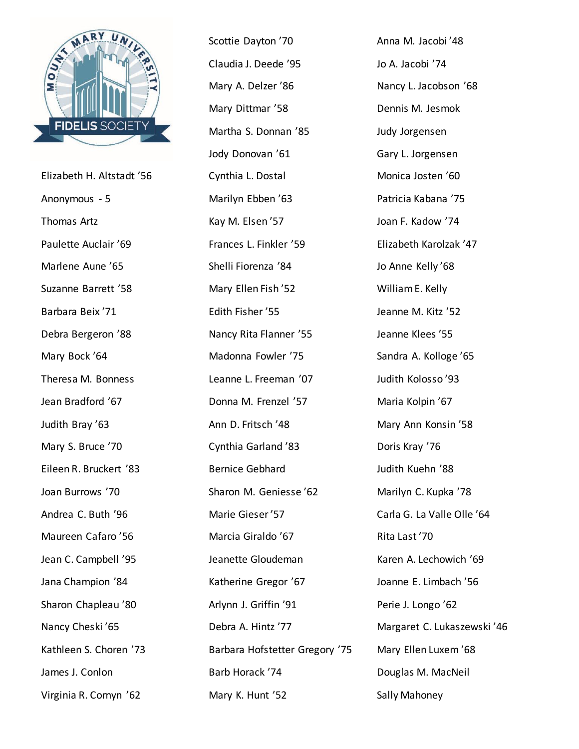

Elizabeth H. Altstadt '56 Anonymous - 5 Thomas Artz Paulette Auclair '69 Marlene Aune '65 Suzanne Barrett '58 Barbara Beix '71 Debra Bergeron '88 Mary Bock '64 Theresa M. Bonness Jean Bradford '67 Judith Bray '63 Mary S. Bruce '70 Eileen R. Bruckert '83 Joan Burrows '70 Andrea C. Buth '96 Maureen Cafaro '56 Jean C. Campbell '95 Jana Champion '84 Sharon Chapleau '80 Nancy Cheski '65 Kathleen S. Choren '73 James J. Conlon Virginia R. Cornyn '62

Scottie Dayton '70 Claudia J. Deede '95 Mary A. Delzer '86 Mary Dittmar '58 Martha S. Donnan '85 Jody Donovan '61 Cynthia L. Dostal Marilyn Ebben '63 Kay M. Elsen '57 Frances L. Finkler '59 Shelli Fiorenza '84 Mary Ellen Fish '52 Edith Fisher '55 Nancy Rita Flanner '55 Madonna Fowler '75 Leanne L. Freeman '07 Donna M. Frenzel '57 Ann D. Fritsch '48 Cynthia Garland '83 Bernice Gebhard Sharon M. Geniesse '62 Marie Gieser '57 Marcia Giraldo '67 Jeanette Gloudeman Katherine Gregor '67 Arlynn J. Griffin '91 Debra A. Hintz '77 Barbara Hofstetter Gregory '75 Barb Horack '74 Mary K. Hunt '52

Anna M. Jacobi '48 Jo A. Jacobi '74 Nancy L. Jacobson '68 Dennis M. Jesmok Judy Jorgensen Gary L. Jorgensen Monica Josten '60 Patricia Kabana '75 Joan F. Kadow '74 Elizabeth Karolzak '47 Jo Anne Kelly '68 William E. Kelly Jeanne M. Kitz '52 Jeanne Klees '55 Sandra A. Kolloge '65 Judith Kolosso '93 Maria Kolpin '67 Mary Ann Konsin '58 Doris Kray '76 Judith Kuehn '88 Marilyn C. Kupka '78 Carla G. La Valle Olle '64 Rita Last '70 Karen A. Lechowich '69 Joanne E. Limbach '56 Perie J. Longo '62 Margaret C. Lukaszewski '46 Mary Ellen Luxem '68 Douglas M. MacNeil Sally Mahoney